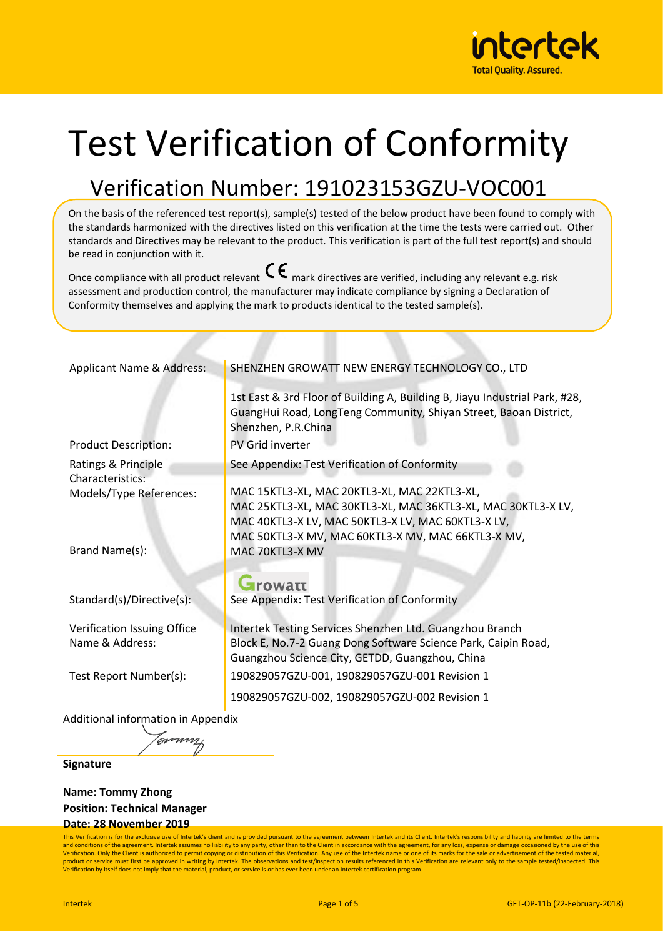

# Test Verification of Conformity

## Verification Number: 191023153GZU-VOC001

On the basis of the referenced test report(s), sample(s) tested of the below product have been found to comply with the standards harmonized with the directives listed on this verification at the time the tests were carried out. Other standards and Directives may be relevant to the product. This verification is part of the full test report(s) and should be read in conjunction with it.

Once compliance with all product relevant  $\mathsf{C}\boldsymbol{\epsilon}$  mark directives are verified, including any relevant e.g. risk assessment and production control, the manufacturer may indicate compliance by signing a Declaration of Conformity themselves and applying the mark to products identical to the tested sample(s).

| Applicant Name & Address:                      | SHENZHEN GROWATT NEW ENERGY TECHNOLOGY CO., LTD                                                                                                                                                                           |
|------------------------------------------------|---------------------------------------------------------------------------------------------------------------------------------------------------------------------------------------------------------------------------|
|                                                | 1st East & 3rd Floor of Building A, Building B, Jiayu Industrial Park, #28,<br>GuangHui Road, LongTeng Community, Shiyan Street, Baoan District,<br>Shenzhen, P.R.China                                                   |
| <b>Product Description:</b>                    | PV Grid inverter                                                                                                                                                                                                          |
| Ratings & Principle                            | See Appendix: Test Verification of Conformity                                                                                                                                                                             |
| <b>Characteristics:</b>                        |                                                                                                                                                                                                                           |
| Models/Type References:                        | MAC 15KTL3-XL, MAC 20KTL3-XL, MAC 22KTL3-XL,<br>MAC 25KTL3-XL, MAC 30KTL3-XL, MAC 36KTL3-XL, MAC 30KTL3-X LV,<br>MAC 40KTL3-X LV, MAC 50KTL3-X LV, MAC 60KTL3-X LV,<br>MAC 50KTL3-X MV, MAC 60KTL3-X MV, MAC 66KTL3-X MV, |
| Brand Name(s):                                 | MAC 70KTL3-X MV                                                                                                                                                                                                           |
|                                                | ${\mathbf G}$ rowatt                                                                                                                                                                                                      |
| Standard(s)/Directive(s):                      | See Appendix: Test Verification of Conformity                                                                                                                                                                             |
| Verification Issuing Office<br>Name & Address: | Intertek Testing Services Shenzhen Ltd. Guangzhou Branch<br>Block E, No.7-2 Guang Dong Software Science Park, Caipin Road,<br>Guangzhou Science City, GETDD, Guangzhou, China                                             |
| Test Report Number(s):                         | 190829057GZU-001, 190829057GZU-001 Revision 1                                                                                                                                                                             |
|                                                | 190829057GZU-002, 190829057GZU-002 Revision 1                                                                                                                                                                             |
| Additional information in Appendix             |                                                                                                                                                                                                                           |

**Signature**

**Name: Tommy Zhong Position: Technical Manager**

'avvun

#### **Date: 28 November 2019**

This Verification is for the exclusive use of Intertek's client and is provided pursuant to the agreement between Intertek and its Client. Intertek's responsibility and liability are limited to the terms and conditions of the agreement. Intertek assumes no liability to any party, other than to the Client in accordance with the agreement, for any loss, expense or damage occasioned by the use of this<br>Verification. Only the C product or service must first be approved in writing by Intertek. The observations and test/inspection results referenced in this Verification are relevant only to the sample tested/inspected. This Verification by itself does not imply that the material, product, or service is or has ever been under an Intertek certification program.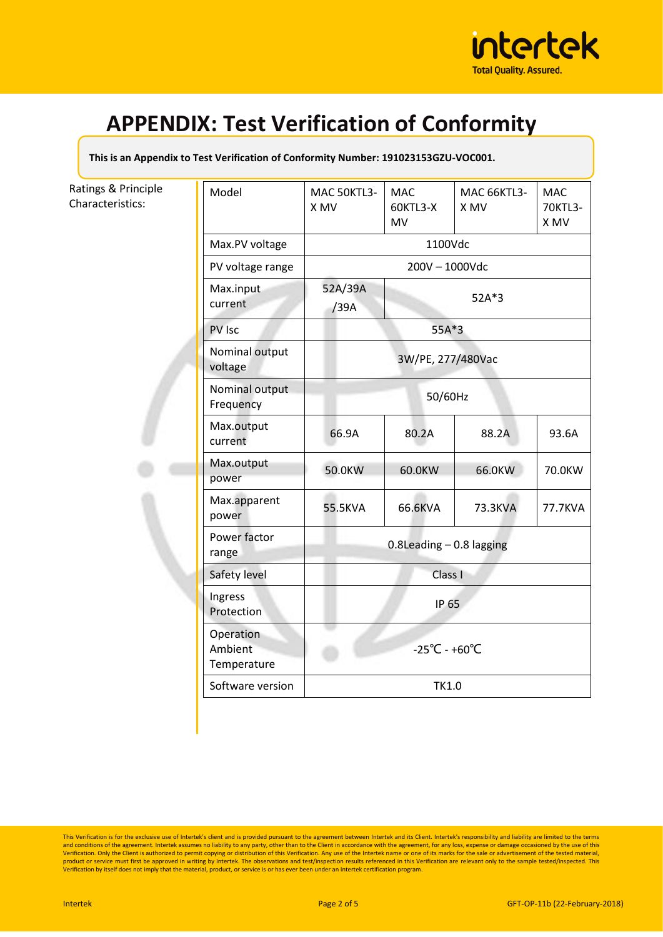

**This is an Appendix to Test Verification of Conformity Number: 191023153GZU-VOC001.**

#### Ratings & Principle Characteristics:

| Model                               | MAC 50KTL3-<br>X MV                                | <b>MAC</b><br>60KTL3-X<br>MV | <b>MAC 66KTL3-</b><br>X MV | <b>MAC</b><br>70KTL3-<br>X MV |
|-------------------------------------|----------------------------------------------------|------------------------------|----------------------------|-------------------------------|
| Max.PV voltage                      | 1100Vdc                                            |                              |                            |                               |
| PV voltage range                    | 200V - 1000Vdc                                     |                              |                            |                               |
| Max.input<br>current                | 52A/39A<br>52A*3<br>/39A                           |                              |                            |                               |
| PV Isc                              |                                                    | 55A*3                        |                            |                               |
| Nominal output<br>voltage           |                                                    | 3W/PE, 277/480Vac            |                            |                               |
| Nominal output<br>Frequency         |                                                    | 50/60Hz                      |                            |                               |
| Max.output<br>current               | 66.9A                                              | 80.2A                        | 88.2A                      | 93.6A                         |
| Max.output<br>power                 | 50.0KW                                             | 60.0KW                       | 66.0KW                     | 70.0KW                        |
| Max.apparent<br>power               | 55.5KVA                                            | 66.6KVA                      | 73.3KVA                    | 77.7KVA                       |
| Power factor<br>range               | $0.8$ Leading $-0.8$ lagging                       |                              |                            |                               |
| Safety level                        |                                                    | Class I                      |                            |                               |
| Ingress<br>Protection               | <b>IP 65</b><br>$-25^{\circ}$ C - +60 $^{\circ}$ C |                              |                            |                               |
| Operation<br>Ambient<br>Temperature |                                                    |                              |                            |                               |
| Software version                    | <b>TK1.0</b>                                       |                              |                            |                               |
|                                     |                                                    |                              |                            |                               |

This Verification is for the exclusive use of Intertek's client and is provided pursuant to the agreement between Intertek and its Client. Intertek's responsibility and liability are limited to the terms<br>and conditions of product or service must first be approved in writing by Intertek. The observations and test/inspection results referenced in this Verification are relevant only to the sample tested/inspected. This<br>Verification by itself d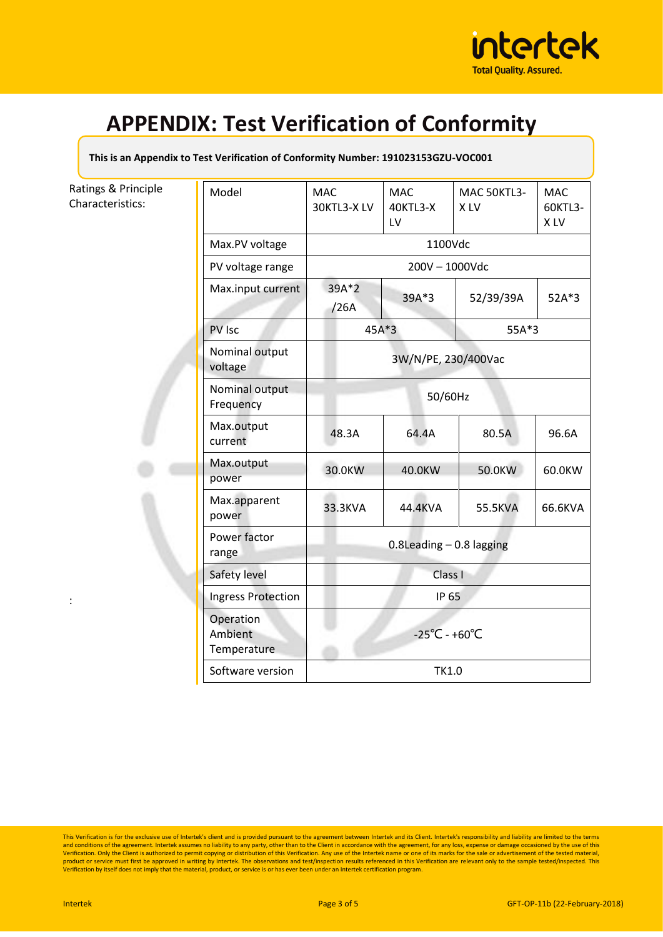

**This is an Appendix to Test Verification of Conformity Number: 191023153GZU-VOC001**

#### Ratings & Principle Characteristics:

|                             | Model                               | <b>MAC</b><br>30KTL3-XLV                | <b>MAC</b><br>40KTL3-X<br>LV | MAC 50KTL3-<br>X LV | <b>MAC</b><br>60KTL3-<br>X LV |
|-----------------------------|-------------------------------------|-----------------------------------------|------------------------------|---------------------|-------------------------------|
|                             | Max.PV voltage                      | 1100Vdc                                 |                              |                     |                               |
|                             | PV voltage range                    | 200V - 1000Vdc                          |                              |                     |                               |
|                             | Max.input current                   | 39A*2<br>/26A                           | 39A*3                        | 52/39/39A           | 52A*3                         |
|                             | PV Isc                              | $45A*3$                                 |                              | 55A*3               |                               |
|                             | Nominal output<br>voltage           | 3W/N/PE, 230/400Vac                     |                              |                     |                               |
|                             | Nominal output<br>Frequency         | 50/60Hz                                 |                              |                     |                               |
|                             | Max.output<br>current               | 48.3A                                   | 64.4A                        | 80.5A               | 96.6A                         |
|                             | Max.output<br>power                 | 30.0KW                                  | 40.0KW                       | 50.0KW              | 60.0KW                        |
|                             | Max.apparent<br>power               | 33.3KVA                                 | 44.4KVA                      | 55.5KVA             | 66.6KVA                       |
|                             | Power factor<br>range               | $0.8$ Leading $-0.8$ lagging<br>Class I |                              |                     |                               |
|                             | Safety level                        |                                         |                              |                     |                               |
| Ingress Protection<br>IP 65 |                                     |                                         |                              |                     |                               |
|                             | Operation<br>Ambient<br>Temperature | $-25^{\circ}$ C - +60 $^{\circ}$ C      |                              |                     |                               |
|                             | Software version                    |                                         | <b>TK1.0</b>                 |                     |                               |

This Verification is for the exclusive use of Intertek's client and is provided pursuant to the agreement between Intertek and its Client. Intertek's responsibility and liability are limited to the terms<br>and conditions of product or service must first be approved in writing by Intertek. The observations and test/inspection results referenced in this Verification are relevant only to the sample tested/inspected. This<br>Verification by itself d

: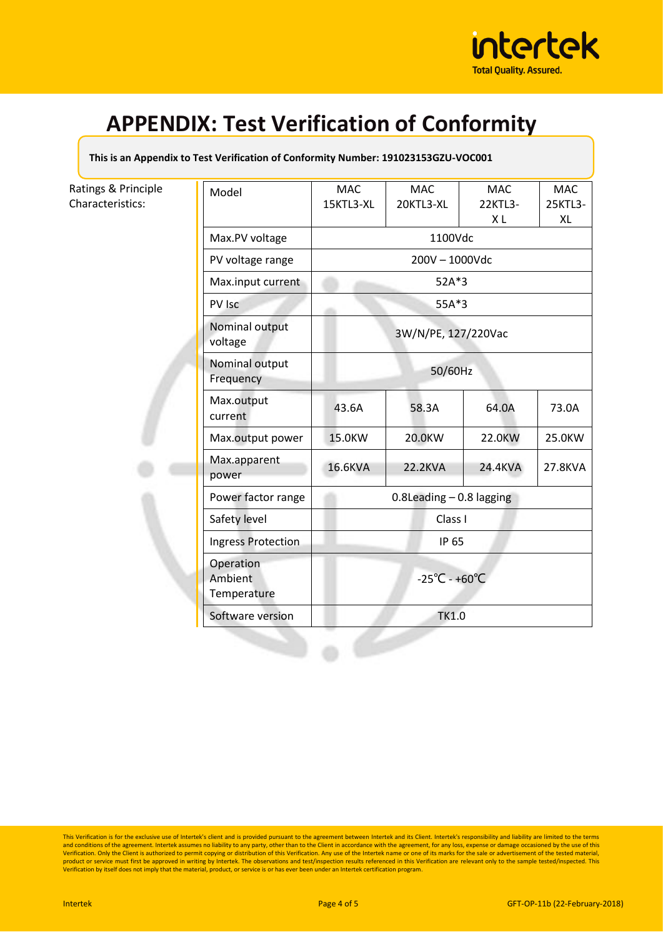

#### **This is an Appendix to Test Verification of Conformity Number: 191023153GZU-VOC001**

### Ratings & Principle Characteristics:

| Model                               | <b>MAC</b><br>15KTL3-XL                 | <b>MAC</b><br>20KTL3-XL | <b>MAC</b><br>22KTL3-<br>ΧL | <b>MAC</b><br>25KTL3-<br>XL |
|-------------------------------------|-----------------------------------------|-------------------------|-----------------------------|-----------------------------|
| Max.PV voltage                      | 1100Vdc                                 |                         |                             |                             |
| PV voltage range                    | 200V - 1000Vdc                          |                         |                             |                             |
| Max.input current                   | 52A*3<br>55A*3                          |                         |                             |                             |
| PV Isc                              |                                         |                         |                             |                             |
| Nominal output<br>voltage           | 3W/N/PE, 127/220Vac<br>50/60Hz          |                         |                             |                             |
| Nominal output<br>Frequency         |                                         |                         |                             |                             |
| Max.output<br>current               | 43.6A                                   | 58.3A                   | 64.0A                       | 73.0A                       |
| Max.output power                    | 15.0KW                                  | 20.0KW                  | 22.0KW                      | 25.0KW                      |
| Max.apparent<br>power               | 16.6KVA                                 | 22.2KVA                 | 24.4KVA                     | 27.8KVA                     |
| Power factor range                  | $0.8$ Leading $-0.8$ lagging<br>Class I |                         |                             |                             |
| Safety level                        |                                         |                         |                             |                             |
| <b>Ingress Protection</b>           | IP 65                                   |                         |                             |                             |
| Operation<br>Ambient<br>Temperature | $-25^{\circ}$ C - +60 $^{\circ}$ C      |                         |                             |                             |
| Software version                    |                                         | <b>TK1.0</b>            |                             |                             |

This Verification is for the exclusive use of Intertek's client and is provided pursuant to the agreement between Intertek and its Client. Intertek's responsibility and liability are limited to the terms<br>and conditions of product or service must first be approved in writing by Intertek. The observations and test/inspection results referenced in this Verification are relevant only to the sample tested/inspected. This<br>Verification by itself d